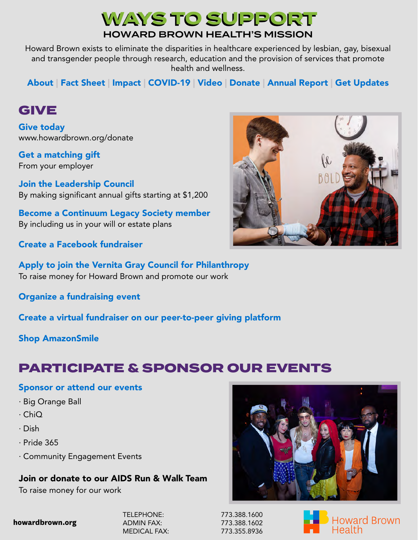## WAYS TO SUPPORT HOWARD BROWN HEALTH'S MISSION

Howard Brown exists to eliminate the disparities in healthcare experienced by lesbian, gay, bisexual and transgender people through research, education and the provision of services that promote health and wellness.

[About](https://howardbrown.org/about/) | [Fact Sheet](https://howardbrown.org/wp-content/uploads/2022/04/Howard-Brown-Health-2021-Fact-Sheet.pdf) | [Impact](https://howardbrown.org/wp-content/uploads/2021/08/HowardBrown_2020_ImpactReport_FINAL.pdf) | [COVID-19](https://bit.ly/3ueryF4) | [Video](https://bit.ly/39jgQp3) | [Donate](https://howardbrown.org/get-involved/donate/) | [Annual Report](https://howardbrown.org/wp-content/uploads/2022/04/Howard-Brown-Health-2021-Annual-Report.pdf) | [Get Updates](https://howardbrown.org/get-involved/email-newsletter/)

## [GIVE](https://howardbrown.org/get-involved/donate/)

[Give today](https://howardbrown.org/get-involved/donate/)  [www.howardbrown.org/donate](https://howardbrown.org/get-involved/donate/)

[From your employer](https://howardbrown.org/get-involved/donate/more-ways-to-give/matching-gifts/) [Get a matching gift](https://howardbrown.org/get-involved/donate/more-ways-to-give/matching-gifts/)

[By making significant annual gifts starting at \\$1,200](https://howardbrown.org/get-involved/donate/more-ways-to-give/howard-brown-health-leadership-council/) Join the Leadership Council

[By including us in your will or estate plans](https://howardbrown.org/get-involved/donate/more-ways-to-give/continuum-legacy-society/) [Become a Continuum Legacy Society member](https://howardbrown.org/get-involved/donate/more-ways-to-give/continuum-legacy-society/)

[Create a Facebook fundraiser](https://www.facebook.com/fund/HowardBrownHealthCenter/)

[Apply to join the Vernita Gray Council for Philanthropy](https://bit.ly/3yRAlya) [To raise money for Howard Brown and promote our work](https://bit.ly/3yRAlya)

[Organize a fundraising event](https://bit.ly/3wwc1lm)

[Create a virtual fundraiser on our peer-to-peer giving platform](https://app.mobilecause.com/vf/LGBTQ)

[Shop AmazonSmile](https://smile.amazon.com/gp/chpf/homepage/ref=smi_chpf_redirect?ie=UTF8&ein=36-2894128&ref_=smi_ext_ch_36-2894128_cl)

# [PARTICIPATE](https://howardbrown.org/events/) & [SPONSOR](mailto:events@howardbrown.org) [OUR EVENTS](https://howardbrown.org/events/)

#### [Sponsor](mailto:events@howardbrown.org) or [attend our events](https://howardbrown.org/events/)

- · Big Orange Ball
- · ChiQ
- · Dish
- · Pride 365
- · [Community Engagement Events](mailto:events@howardbrown.org)

#### Join or donate to our AIDS Run & Walk Team

To raise money for our work

#### **howardbrown.org**

TELEPHONE: 773.388.1600 ADMIN FAX: 773.388.1602 MEDICAL FAX: 773.355.8936





Howard Brown Health